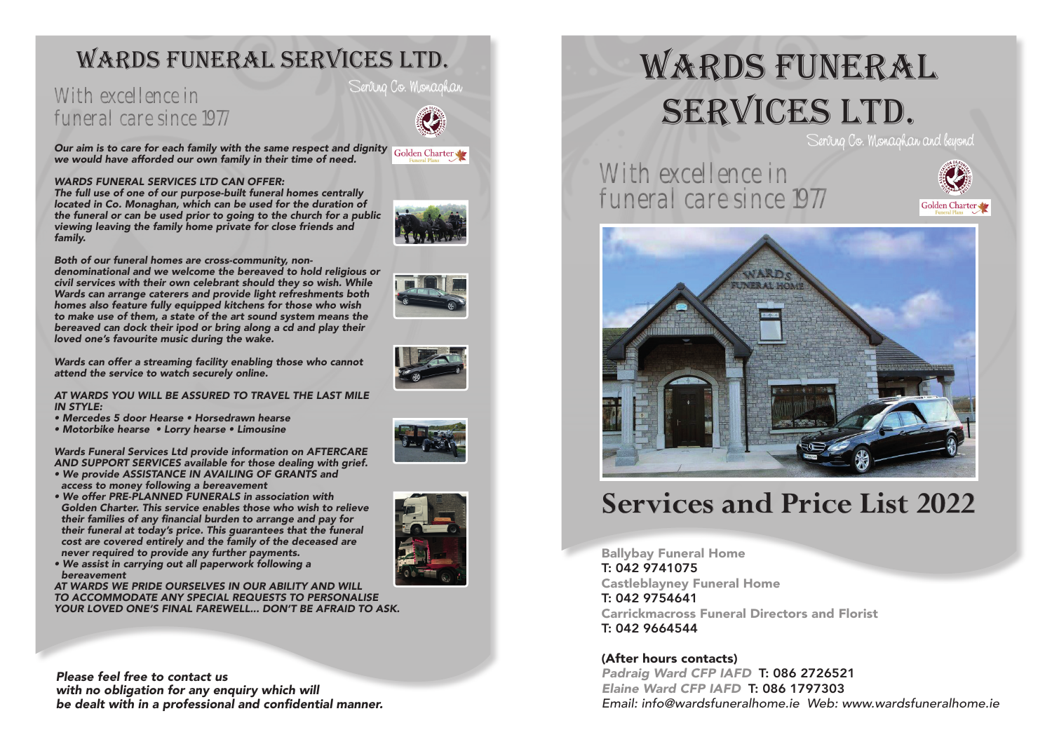## Wards Funeral Services LTD.

### **With excellence in With Serving Co. Monaghan** funeral care since 1977

*Our aim is to care for each family with the same respect and dignity* Golden Charter *we would have afforded our own family in their time of need.*

#### *WARDS FUNERAL SERVICES LTD CAN OFFER:*

*The full use of one of our purpose-built funeral homes centrally located in Co. Monaghan, which can be used for the duration of the funeral or can be used prior to going to the church for a public viewing leaving the family home private for close friends and family.*

*Both of our funeral homes are cross-community, nondenominational and we welcome the bereaved to hold religious or civil services with their own celebrant should they so wish. While Wards can arrange caterers and provide light refreshments both homes also feature fully equipped kitchens for those who wish to make use of them, a state of the art sound system means the bereaved can dock their ipod or bring along a cd and play their loved one's favourite music during the wake.*

*Wards can offer a streaming facility enabling those who cannot attend the service to watch securely online.*

#### *AT WARDS YOU WILL BE ASSURED TO TRAVEL THE LAST MILE IN STYLE:*

- *Mercedes 5 door Hearse Horsedrawn hearse*
- *Motorbike hearse Lorry hearse Limousine*

*Wards Funeral Services Ltd provide information on AFTERCARE AND SUPPORT SERVICES available for those dealing with grief.*

- *We provide ASSISTANCE IN AVAILING OF GRANTS and access to money following a bereavement*
- *We offer PRE-PLANNED FUNERALS in association with Golden Charter. This service enables those who wish to relieve*  their families of any financial burden to arrange and pay for *their funeral at today's price. This guarantees that the funeral cost are covered entirely and the family of the deceased are never required to provide any further payments.*
- *We assist in carrying out all paperwork following a bereavement*

*AT WARDS WE PRIDE OURSELVES IN OUR ABILITY AND WILL TO ACCOMMODATE ANY SPECIAL REQUESTS TO PERSONALISE YOUR LOVED ONE'S FINAL FAREWELL... DON'T BE AFRAID TO ASK.*

*Please feel free to contact us with no obligation for any enquiry which will*  be dealt with in a professional and confidential manner.

# WARDS FUNERAL SERVICES LTD.

Serving Co. Monaghan and beyond

With excellence in funeral care since 1977





# **Services and Price List 2022**

Ballybay Funeral Home T: 042 9741075 Castleblayney Funeral Home T: 042 9754641 Carrickmacross Funeral Directors and Florist T: 042 9664544

### (After hours contacts)

*Padraig Ward CFP IAFD* T: 086 2726521 *Elaine Ward CFP IAFD* T: 086 1797303 *Email: info@wardsfuneralhome.ie Web: www.wardsfuneralhome.ie*